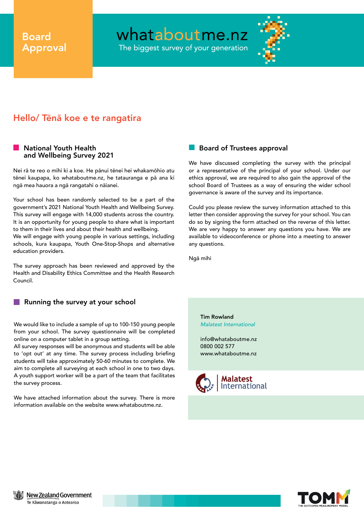# Board Approval

whataboutme.nz

The biggest survey of your generation



# Hello/ Tēnā koe e te rangatira

### National Youth Health and Wellbeing Survey 2021

Nei rā te reo o mihi ki a koe. He pānui tēnei hei whakamōhio atu tēnei kaupapa, ko whataboutme.nz, he tatauranga e pā ana ki ngā mea hauora a ngā rangatahi o nāianei.

Your school has been randomly selected to be a part of the government's 2021 National Youth Health and Wellbeing Survey. This survey will engage with 14,000 students across the country. It is an opportunity for young people to share what is important to them in their lives and about their health and wellbeing. We will engage with young people in various settings, including schools, kura kaupapa, Youth One-Stop-Shops and alternative education providers.

The survey approach has been reviewed and approved by the Health and Disability Ethics Committee and the Health Research Council.

#### H Running the survey at your school

We would like to include a sample of up to 100-150 young people from your school. The survey questionnaire will be completed online on a computer tablet in a group setting.

All survey responses will be anonymous and students will be able to 'opt out' at any time. The survey process including briefing students will take approximately 50-60 minutes to complete. We aim to complete all surveying at each school in one to two days. A youth support worker will be a part of the team that facilitates the survey process.

We have attached information about the survey. There is more information available on the website www.whataboutme.nz.

## Board of Trustees approval

We have discussed completing the survey with the principal or a representative of the principal of your school. Under our ethics approval, we are required to also gain the approval of the school Board of Trustees as a way of ensuring the wider school governance is aware of the survey and its importance.

Could you please review the survey information attached to this letter then consider approving the survey for your school. You can do so by signing the form attached on the reverse of this letter. We are very happy to answer any questions you have. We are available to videoconference or phone into a meeting to answer any questions.

Ngā mihi

Tim Rowland *Malatest International*

info@whataboutme.nz 0800 002 577 www.whataboutme.nz